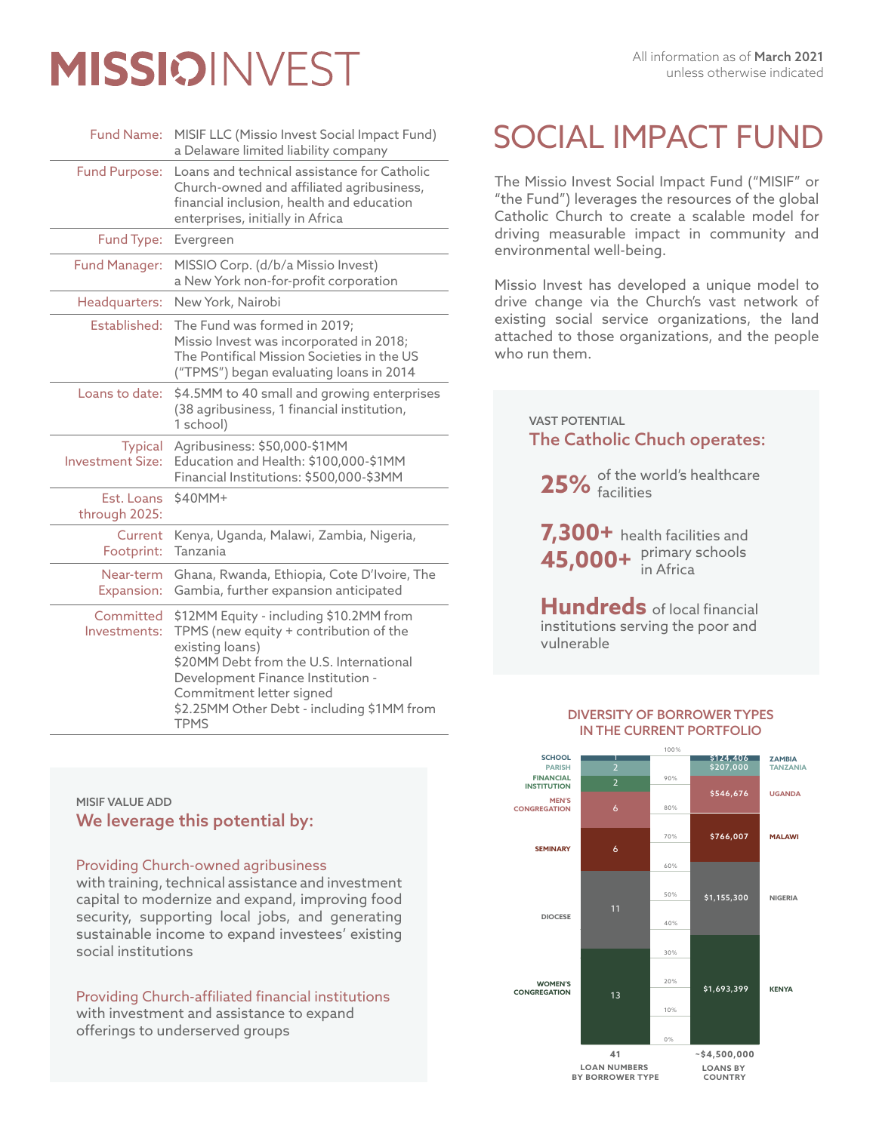# **MISSIOINVEST**

| <b>Fund Name:</b>                         | MISIF LLC (Missio Invest Social Impact Fund)<br>a Delaware limited liability company                                                                                                                                                                                          |
|-------------------------------------------|-------------------------------------------------------------------------------------------------------------------------------------------------------------------------------------------------------------------------------------------------------------------------------|
| <b>Fund Purpose:</b>                      | Loans and technical assistance for Catholic<br>Church-owned and affiliated agribusiness,<br>financial inclusion, health and education<br>enterprises, initially in Africa                                                                                                     |
| Fund Type:                                | Evergreen                                                                                                                                                                                                                                                                     |
| <b>Fund Manager:</b>                      | MISSIO Corp. (d/b/a Missio Invest)<br>a New York non-for-profit corporation                                                                                                                                                                                                   |
| Headquarters:                             | New York, Nairobi                                                                                                                                                                                                                                                             |
| Established:                              | The Fund was formed in 2019;<br>Missio Invest was incorporated in 2018;<br>The Pontifical Mission Societies in the US<br>("TPMS") began evaluating loans in 2014                                                                                                              |
| Loans to date:                            | \$4.5MM to 40 small and growing enterprises<br>(38 agribusiness, 1 financial institution,<br>1 school)                                                                                                                                                                        |
| <b>Typical</b><br><b>Investment Size:</b> | Agribusiness: \$50,000-\$1MM<br>Education and Health: \$100,000-\$1MM<br>Financial Institutions: \$500,000-\$3MM                                                                                                                                                              |
| Est. Loans<br>through 2025:               | \$40MM+                                                                                                                                                                                                                                                                       |
| Current<br>Footprint:                     | Kenya, Uganda, Malawi, Zambia, Nigeria,<br>Tanzania                                                                                                                                                                                                                           |
| Near-term<br>Expansion:                   | Ghana, Rwanda, Ethiopia, Cote D'Ivoire, The<br>Gambia, further expansion anticipated                                                                                                                                                                                          |
| Committed<br>Investments:                 | \$12MM Equity - including \$10.2MM from<br>TPMS (new equity + contribution of the<br>existing loans)<br>\$20MM Debt from the U.S. International<br>Development Finance Institution -<br>Commitment letter signed<br>\$2.25MM Other Debt - including \$1MM from<br><b>TPMS</b> |

# SOCIAL IMPACT FUND

The Missio Invest Social Impact Fund ("MISIF" or "the Fund") leverages the resources of the global Catholic Church to create a scalable model for driving measurable impact in community and environmental well-being.

Missio Invest has developed a unique model to drive change via the Church's vast network of existing social service organizations, the land attached to those organizations, and the people who run them.

> The Catholic Chuch operates: VAST POTENTIAL

**25%** of the world's healthcare facilities

**7,300+** health facilities and  $45,000+$   $\frac{\text{primary schools}}{\text{in Africa}}$ in Africa

**Hundreds** of local financial institutions serving the poor and vulnerable

#### DIVERSITY OF BORROWER TYPES IN THE CURRENT PORTFOLIO



# MISIF VALUE ADD We leverage this potential by:

# Providing Church-owned agribusiness

with training, technical assistance and investment capital to modernize and expand, improving food security, supporting local jobs, and generating sustainable income to expand investees' existing social institutions

Providing Church-affiliated financial institutions with investment and assistance to expand offerings to underserved groups